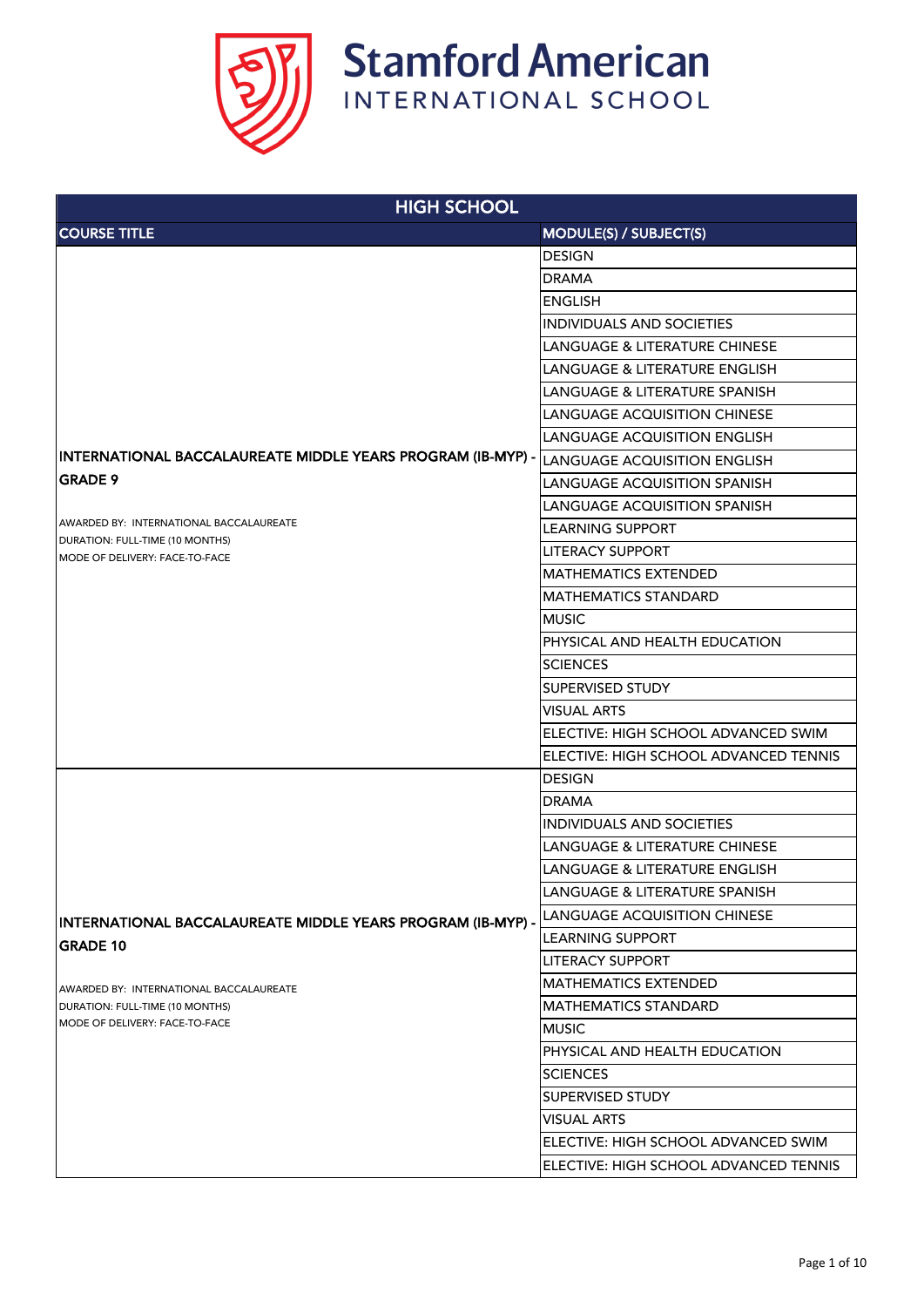

| <b>HIGH SCHOOL</b>                                                |                                          |
|-------------------------------------------------------------------|------------------------------------------|
| <b>COURSE TITLE</b>                                               | <b>MODULE(S) / SUBJECT(S)</b>            |
|                                                                   | <b>DESIGN</b>                            |
|                                                                   | <b>DRAMA</b>                             |
|                                                                   | <b>ENGLISH</b>                           |
|                                                                   | <b>INDIVIDUALS AND SOCIETIES</b>         |
|                                                                   | LANGUAGE & LITERATURE CHINESE            |
|                                                                   | <b>LANGUAGE &amp; LITERATURE ENGLISH</b> |
|                                                                   | <b>LANGUAGE &amp; LITERATURE SPANISH</b> |
|                                                                   | <b>LANGUAGE ACQUISITION CHINESE</b>      |
|                                                                   | <b>LANGUAGE ACQUISITION ENGLISH</b>      |
| INTERNATIONAL BACCALAUREATE MIDDLE YEARS PROGRAM (IB-MYP) -       | <b>LANGUAGE ACQUISITION ENGLISH</b>      |
| <b>GRADE 9</b>                                                    | <b>LANGUAGE ACQUISITION SPANISH</b>      |
|                                                                   | <b>LANGUAGE ACQUISITION SPANISH</b>      |
| AWARDED BY: INTERNATIONAL BACCALAUREATE                           | <b>LEARNING SUPPORT</b>                  |
| DURATION: FULL-TIME (10 MONTHS)<br>MODE OF DELIVERY: FACE-TO-FACE | <b>LITERACY SUPPORT</b>                  |
|                                                                   | <b>MATHEMATICS EXTENDED</b>              |
|                                                                   | <b>MATHEMATICS STANDARD</b>              |
|                                                                   | <b>MUSIC</b>                             |
|                                                                   | PHYSICAL AND HEALTH EDUCATION            |
|                                                                   | <b>SCIENCES</b>                          |
|                                                                   | <b>SUPERVISED STUDY</b>                  |
|                                                                   | <b>VISUAL ARTS</b>                       |
|                                                                   | ELECTIVE: HIGH SCHOOL ADVANCED SWIM      |
|                                                                   | ELECTIVE: HIGH SCHOOL ADVANCED TENNIS    |
|                                                                   | <b>DESIGN</b>                            |
|                                                                   | <b>DRAMA</b>                             |
|                                                                   | <b>INDIVIDUALS AND SOCIETIES</b>         |
|                                                                   | <b>LANGUAGE &amp; LITERATURE CHINESE</b> |
|                                                                   | <b>LANGUAGE &amp; LITERATURE ENGLISH</b> |
| INTERNATIONAL BACCALAUREATE MIDDLE YEARS PROGRAM (IB-MYP) -       | <b>LANGUAGE &amp; LITERATURE SPANISH</b> |
|                                                                   | <b>LANGUAGE ACQUISITION CHINESE</b>      |
| <b>GRADE 10</b>                                                   | <b>LEARNING SUPPORT</b>                  |
|                                                                   | <b>LITERACY SUPPORT</b>                  |
| AWARDED BY: INTERNATIONAL BACCALAUREATE                           | <b>MATHEMATICS EXTENDED</b>              |
| DURATION: FULL-TIME (10 MONTHS)                                   | <b>MATHEMATICS STANDARD</b>              |
| MODE OF DELIVERY: FACE-TO-FACE                                    | <b>MUSIC</b>                             |
|                                                                   | PHYSICAL AND HEALTH EDUCATION            |
|                                                                   | <b>SCIENCES</b>                          |
|                                                                   | <b>SUPERVISED STUDY</b>                  |
|                                                                   | <b>VISUAL ARTS</b>                       |
|                                                                   | ELECTIVE: HIGH SCHOOL ADVANCED SWIM      |
|                                                                   | ELECTIVE: HIGH SCHOOL ADVANCED TENNIS    |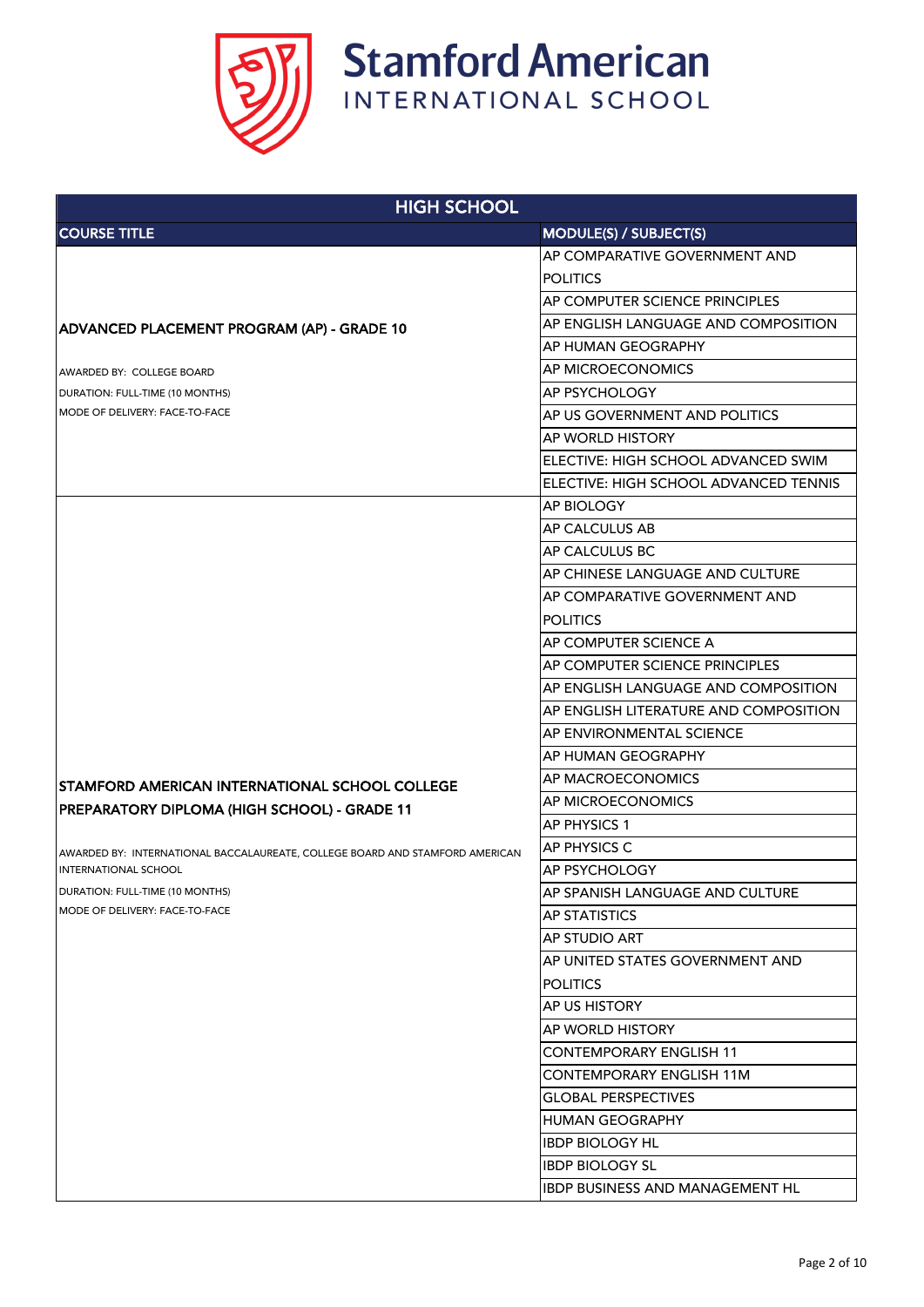

| <b>HIGH SCHOOL</b>                                                           |                                            |
|------------------------------------------------------------------------------|--------------------------------------------|
| <b>COURSE TITLE</b>                                                          | <b>MODULE(S) / SUBJECT(S)</b>              |
|                                                                              | AP COMPARATIVE GOVERNMENT AND              |
|                                                                              | <b>POLITICS</b>                            |
|                                                                              | AP COMPUTER SCIENCE PRINCIPLES             |
| ADVANCED PLACEMENT PROGRAM (AP) - GRADE 10                                   | AP ENGLISH LANGUAGE AND COMPOSITION        |
|                                                                              | <b>AP HUMAN GEOGRAPHY</b>                  |
| LAWARDED BY: COLLEGE BOARD                                                   | <b>AP MICROECONOMICS</b>                   |
| DURATION: FULL-TIME (10 MONTHS)                                              | <b>AP PSYCHOLOGY</b>                       |
| MODE OF DELIVERY: FACE-TO-FACE                                               | AP US GOVERNMENT AND POLITICS              |
|                                                                              | <b>AP WORLD HISTORY</b>                    |
|                                                                              | ELECTIVE: HIGH SCHOOL ADVANCED SWIM        |
|                                                                              | ELECTIVE: HIGH SCHOOL ADVANCED TENNIS      |
|                                                                              | <b>AP BIOLOGY</b>                          |
|                                                                              | <b>AP CALCULUS AB</b>                      |
|                                                                              | <b>AP CALCULUS BC</b>                      |
|                                                                              | AP CHINESE LANGUAGE AND CULTURE            |
|                                                                              | AP COMPARATIVE GOVERNMENT AND              |
|                                                                              | <b>POLITICS</b>                            |
|                                                                              | <b>AP COMPUTER SCIENCE A</b>               |
|                                                                              | AP COMPUTER SCIENCE PRINCIPLES             |
|                                                                              | <b>AP ENGLISH LANGUAGE AND COMPOSITION</b> |
|                                                                              | AP ENGLISH LITERATURE AND COMPOSITION      |
|                                                                              | AP ENVIRONMENTAL SCIENCE                   |
|                                                                              | <b>AP HUMAN GEOGRAPHY</b>                  |
| <b>STAMFORD AMERICAN INTERNATIONAL SCHOOL COLLEGE</b>                        | <b>AP MACROECONOMICS</b>                   |
| PREPARATORY DIPLOMA (HIGH SCHOOL) - GRADE 11                                 | AP MICROECONOMICS                          |
|                                                                              | AP PHYSICS 1                               |
| AWARDED BY: INTERNATIONAL BACCALAUREATE, COLLEGE BOARD AND STAMFORD AMERICAN | <b>AP PHYSICS C</b>                        |
| <b>INTERNATIONAL SCHOOL</b>                                                  | <b>AP PSYCHOLOGY</b>                       |
| DURATION: FULL-TIME (10 MONTHS)                                              | AP SPANISH LANGUAGE AND CULTURE            |
| <b>IMODE OF DELIVERY: FACE-TO-FACE</b>                                       | <b>AP STATISTICS</b>                       |
|                                                                              | <b>AP STUDIO ART</b>                       |
|                                                                              | AP UNITED STATES GOVERNMENT AND            |
|                                                                              | <b>POLITICS</b>                            |
|                                                                              | <b>AP US HISTORY</b>                       |
|                                                                              | <b>AP WORLD HISTORY</b>                    |
|                                                                              | <b>CONTEMPORARY ENGLISH 11</b>             |
|                                                                              | <b>CONTEMPORARY ENGLISH 11M</b>            |
|                                                                              | <b>GLOBAL PERSPECTIVES</b>                 |
|                                                                              | <b>HUMAN GEOGRAPHY</b>                     |
|                                                                              | <b>IBDP BIOLOGY HL</b>                     |
|                                                                              | <b>IBDP BIOLOGY SL</b>                     |
|                                                                              | <b>IBDP BUSINESS AND MANAGEMENT HL</b>     |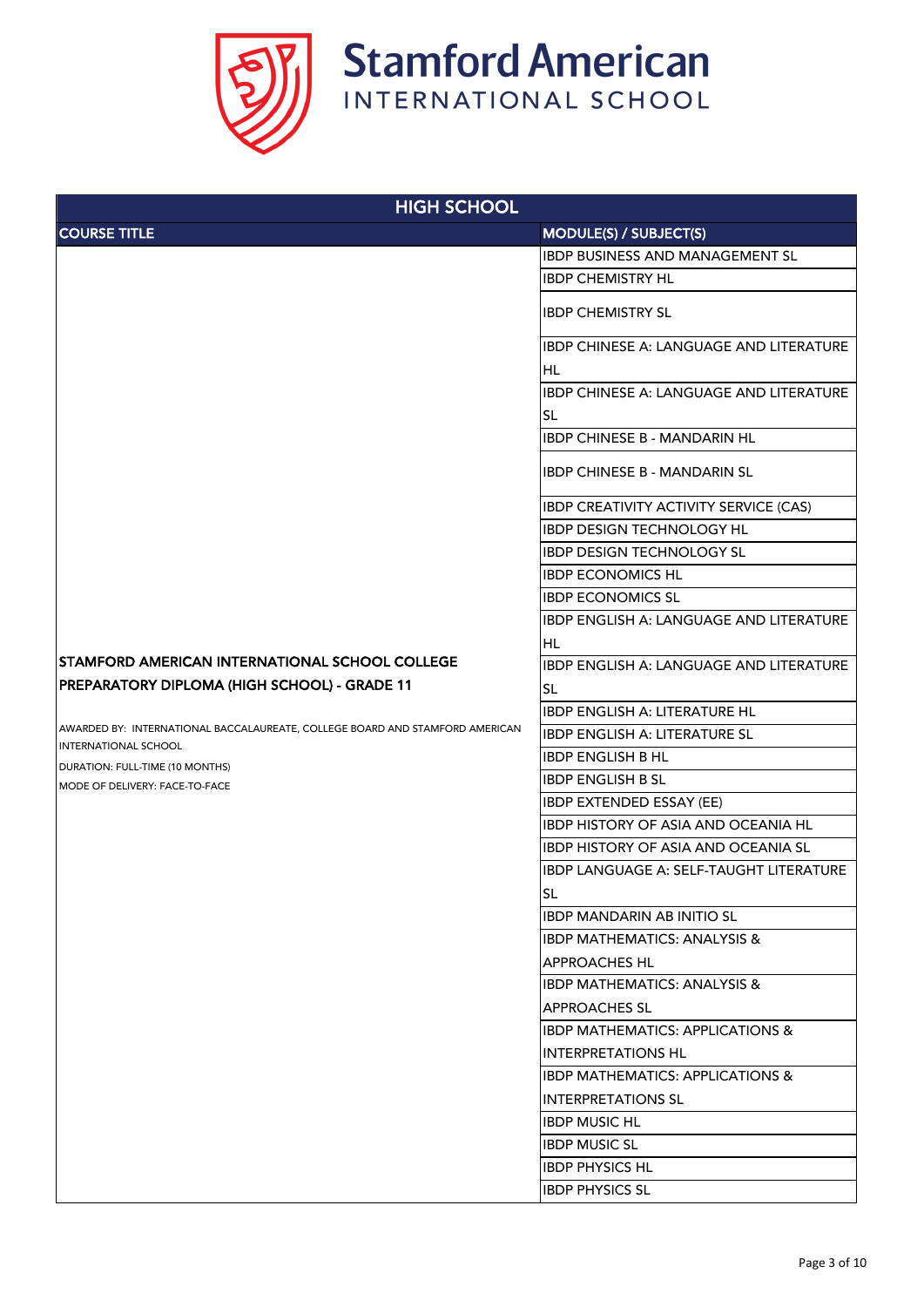

| <b>HIGH SCHOOL</b>                                                                                          |                                                |
|-------------------------------------------------------------------------------------------------------------|------------------------------------------------|
| <b>COURSE TITLE</b>                                                                                         | MODULE(S) / SUBJECT(S)                         |
|                                                                                                             | <b>IBDP BUSINESS AND MANAGEMENT SL</b>         |
|                                                                                                             | <b>IBDP CHEMISTRY HL</b>                       |
|                                                                                                             | <b>IBDP CHEMISTRY SL</b>                       |
|                                                                                                             | IBDP CHINESE A: LANGUAGE AND LITERATURE        |
|                                                                                                             | HL                                             |
|                                                                                                             | IBDP CHINESE A: LANGUAGE AND LITERATURE        |
|                                                                                                             | <b>SL</b>                                      |
|                                                                                                             | <b>IBDP CHINESE B - MANDARIN HL</b>            |
|                                                                                                             | <b>IBDP CHINESE B - MANDARIN SL</b>            |
|                                                                                                             | <b>IBDP CREATIVITY ACTIVITY SERVICE (CAS)</b>  |
|                                                                                                             | <b>IBDP DESIGN TECHNOLOGY HL</b>               |
|                                                                                                             | <b>IBDP DESIGN TECHNOLOGY SL</b>               |
|                                                                                                             | <b>IBDP ECONOMICS HL</b>                       |
|                                                                                                             | <b>IBDP ECONOMICS SL</b>                       |
|                                                                                                             | IBDP ENGLISH A: LANGUAGE AND LITERATURE        |
|                                                                                                             | <b>HL</b>                                      |
| ISTAMFORD AMERICAN INTERNATIONAL SCHOOL COLLEGE                                                             | <b>IBDP ENGLISH A: LANGUAGE AND LITERATURE</b> |
| PREPARATORY DIPLOMA (HIGH SCHOOL) - GRADE 11                                                                | <b>SL</b>                                      |
|                                                                                                             | <b>IBDP ENGLISH A: LITERATURE HL</b>           |
| AWARDED BY: INTERNATIONAL BACCALAUREATE, COLLEGE BOARD AND STAMFORD AMERICAN<br><b>INTERNATIONAL SCHOOL</b> | <b>IBDP ENGLISH A: LITERATURE SL</b>           |
| DURATION: FULL-TIME (10 MONTHS)                                                                             | <b>IBDP ENGLISH B HL</b>                       |
| MODE OF DELIVERY: FACE-TO-FACE                                                                              | <b>IBDP ENGLISH B SL</b>                       |
|                                                                                                             | <b>IBDP EXTENDED ESSAY (EE)</b>                |
|                                                                                                             | <b>IBDP HISTORY OF ASIA AND OCEANIA HL</b>     |
|                                                                                                             | <b>IBDP HISTORY OF ASIA AND OCEANIA SL</b>     |
|                                                                                                             | IBDP LANGUAGE A: SELF-TAUGHT LITERATURE        |
|                                                                                                             | <b>SL</b>                                      |
|                                                                                                             | <b>IBDP MANDARIN AB INITIO SL</b>              |
|                                                                                                             | <b>IBDP MATHEMATICS: ANALYSIS &amp;</b>        |
|                                                                                                             | <b>APPROACHES HL</b>                           |
|                                                                                                             | <b>IBDP MATHEMATICS: ANALYSIS &amp;</b>        |
|                                                                                                             | <b>APPROACHES SL</b>                           |
|                                                                                                             | <b>IBDP MATHEMATICS: APPLICATIONS &amp;</b>    |
|                                                                                                             | <b>INTERPRETATIONS HL</b>                      |
|                                                                                                             | <b>IBDP MATHEMATICS: APPLICATIONS &amp;</b>    |
|                                                                                                             | <b>INTERPRETATIONS SL</b>                      |
|                                                                                                             | <b>IBDP MUSIC HL</b>                           |
|                                                                                                             | <b>IBDP MUSIC SL</b>                           |
|                                                                                                             | <b>IBDP PHYSICS HL</b>                         |
|                                                                                                             | <b>IBDP PHYSICS SL</b>                         |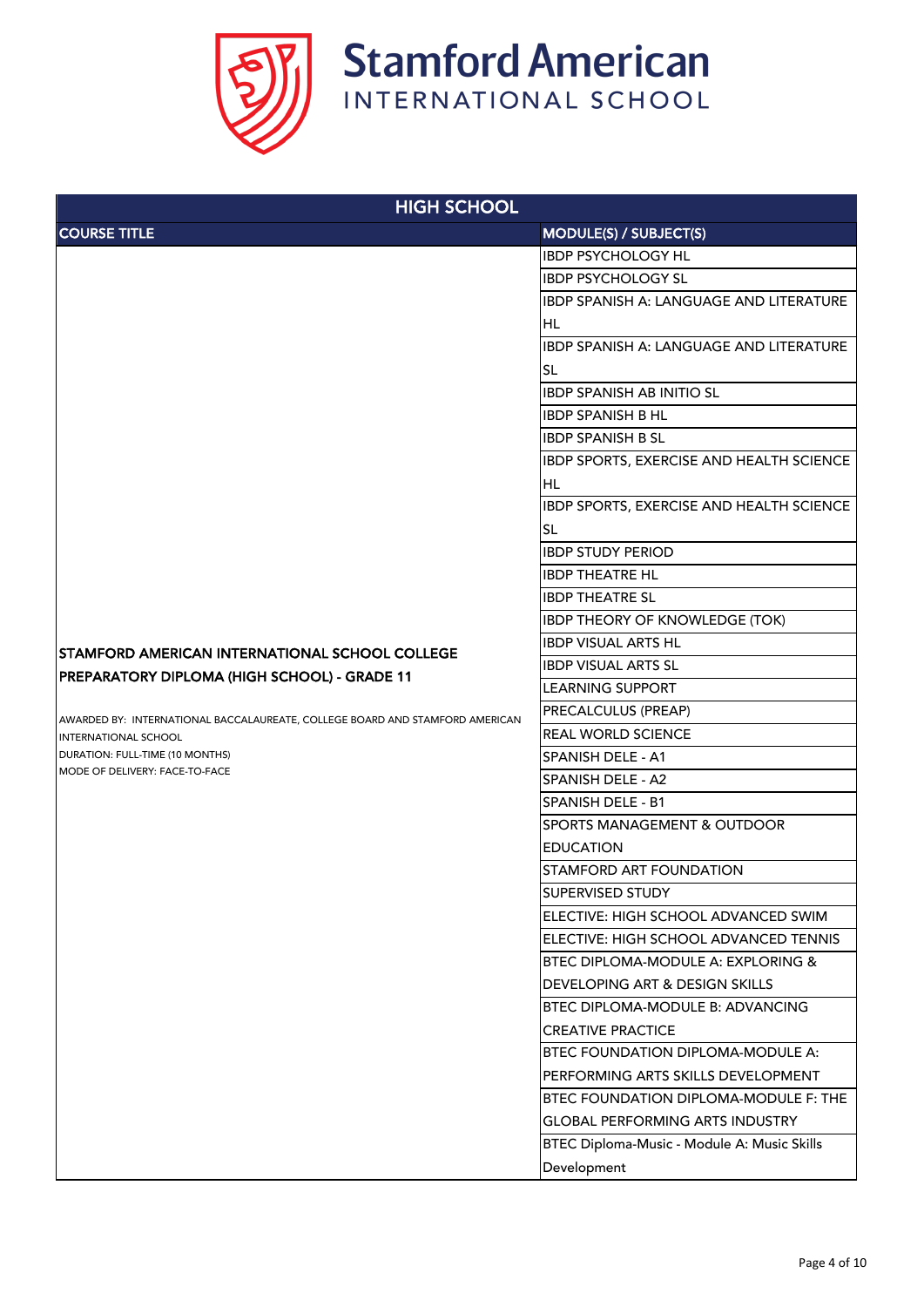

| <b>HIGH SCHOOL</b>                                                           |                                                |
|------------------------------------------------------------------------------|------------------------------------------------|
| <b>COURSE TITLE</b>                                                          | <b>MODULE(S) / SUBJECT(S)</b>                  |
|                                                                              | <b>IBDP PSYCHOLOGY HL</b>                      |
|                                                                              | <b>IBDP PSYCHOLOGY SL</b>                      |
|                                                                              | IBDP SPANISH A: LANGUAGE AND LITERATURE        |
|                                                                              | <b>HL</b>                                      |
|                                                                              | <b>IBDP SPANISH A: LANGUAGE AND LITERATURE</b> |
|                                                                              | <b>SL</b>                                      |
|                                                                              | <b>IBDP SPANISH AB INITIO SL</b>               |
|                                                                              | <b>IBDP SPANISH B HL</b>                       |
|                                                                              | <b>IBDP SPANISH B SL</b>                       |
|                                                                              | IBDP SPORTS, EXERCISE AND HEALTH SCIENCE       |
|                                                                              | <b>HL</b>                                      |
|                                                                              | IBDP SPORTS, EXERCISE AND HEALTH SCIENCE       |
|                                                                              | <b>SL</b>                                      |
|                                                                              | <b>IBDP STUDY PERIOD</b>                       |
|                                                                              | <b>IBDP THEATRE HL</b>                         |
|                                                                              | <b>IBDP THEATRE SL</b>                         |
|                                                                              | <b>IBDP THEORY OF KNOWLEDGE (TOK)</b>          |
| <b>STAMFORD AMERICAN INTERNATIONAL SCHOOL COLLEGE</b>                        | <b>IBDP VISUAL ARTS HL</b>                     |
| PREPARATORY DIPLOMA (HIGH SCHOOL) - GRADE 11                                 | <b>IBDP VISUAL ARTS SL</b>                     |
|                                                                              | <b>LEARNING SUPPORT</b>                        |
| AWARDED BY: INTERNATIONAL BACCALAUREATE, COLLEGE BOARD AND STAMFORD AMERICAN | <b>PRECALCULUS (PREAP)</b>                     |
| <b>IINTERNATIONAL SCHOOL</b>                                                 | <b>REAL WORLD SCIENCE</b>                      |
| DURATION: FULL-TIME (10 MONTHS)<br>MODE OF DELIVERY: FACE-TO-FACE            | <b>SPANISH DELE - A1</b>                       |
|                                                                              | <b>SPANISH DELE - A2</b>                       |
|                                                                              | <b>SPANISH DELE - B1</b>                       |
|                                                                              | <b>SPORTS MANAGEMENT &amp; OUTDOOR</b>         |
|                                                                              | <b>EDUCATION</b>                               |
|                                                                              | <b>STAMFORD ART FOUNDATION</b>                 |
|                                                                              | <b>SUPERVISED STUDY</b>                        |
|                                                                              | ELECTIVE: HIGH SCHOOL ADVANCED SWIM            |
|                                                                              | ELECTIVE: HIGH SCHOOL ADVANCED TENNIS          |
|                                                                              | <b>BTEC DIPLOMA-MODULE A: EXPLORING &amp;</b>  |
|                                                                              | <b>DEVELOPING ART &amp; DESIGN SKILLS</b>      |
|                                                                              | BTEC DIPLOMA-MODULE B: ADVANCING               |
|                                                                              | <b>CREATIVE PRACTICE</b>                       |
|                                                                              | <b>BTEC FOUNDATION DIPLOMA-MODULE A:</b>       |
|                                                                              | PERFORMING ARTS SKILLS DEVELOPMENT             |
|                                                                              | <b>BTEC FOUNDATION DIPLOMA-MODULE F: THE</b>   |
|                                                                              | <b>GLOBAL PERFORMING ARTS INDUSTRY</b>         |
|                                                                              | BTEC Diploma-Music - Module A: Music Skills    |
|                                                                              | Development                                    |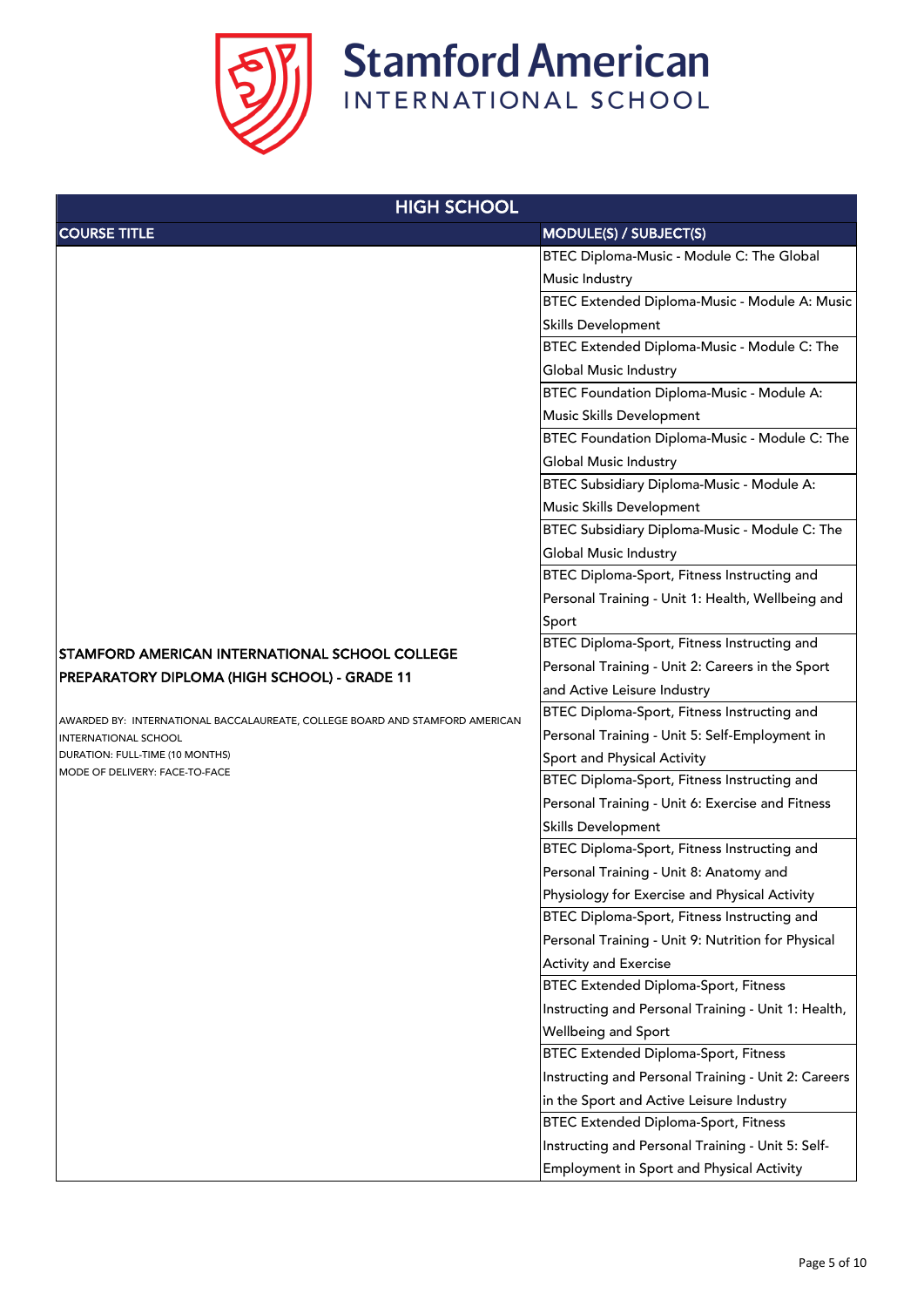

| <b>HIGH SCHOOL</b>                                                           |                                                     |
|------------------------------------------------------------------------------|-----------------------------------------------------|
| <b>COURSE TITLE</b>                                                          | MODULE(S) / SUBJECT(S)                              |
|                                                                              | BTEC Diploma-Music - Module C: The Global           |
|                                                                              | Music Industry                                      |
|                                                                              | BTEC Extended Diploma-Music - Module A: Music       |
|                                                                              | <b>Skills Development</b>                           |
|                                                                              | BTEC Extended Diploma-Music - Module C: The         |
|                                                                              | <b>Global Music Industry</b>                        |
|                                                                              | <b>BTEC Foundation Diploma-Music - Module A:</b>    |
|                                                                              | <b>Music Skills Development</b>                     |
|                                                                              | BTEC Foundation Diploma-Music - Module C: The       |
|                                                                              | <b>Global Music Industry</b>                        |
|                                                                              | BTEC Subsidiary Diploma-Music - Module A:           |
|                                                                              | Music Skills Development                            |
|                                                                              | BTEC Subsidiary Diploma-Music - Module C: The       |
|                                                                              | <b>Global Music Industry</b>                        |
|                                                                              | BTEC Diploma-Sport, Fitness Instructing and         |
|                                                                              | Personal Training - Unit 1: Health, Wellbeing and   |
|                                                                              | Sport                                               |
| STAMFORD AMERICAN INTERNATIONAL SCHOOL COLLEGE                               | BTEC Diploma-Sport, Fitness Instructing and         |
| PREPARATORY DIPLOMA (HIGH SCHOOL) - GRADE 11                                 | Personal Training - Unit 2: Careers in the Sport    |
|                                                                              | and Active Leisure Industry                         |
| AWARDED BY: INTERNATIONAL BACCALAUREATE, COLLEGE BOARD AND STAMFORD AMERICAN | BTEC Diploma-Sport, Fitness Instructing and         |
| <b>INTERNATIONAL SCHOOL</b>                                                  | Personal Training - Unit 5: Self-Employment in      |
| DURATION: FULL-TIME (10 MONTHS)                                              | Sport and Physical Activity                         |
| MODE OF DELIVERY: FACE-TO-FACE                                               | BTEC Diploma-Sport, Fitness Instructing and         |
|                                                                              | Personal Training - Unit 6: Exercise and Fitness    |
|                                                                              | <b>Skills Development</b>                           |
|                                                                              | BTEC Diploma-Sport, Fitness Instructing and         |
|                                                                              | Personal Training - Unit 8: Anatomy and             |
|                                                                              | Physiology for Exercise and Physical Activity       |
|                                                                              | BTEC Diploma-Sport, Fitness Instructing and         |
|                                                                              | Personal Training - Unit 9: Nutrition for Physical  |
|                                                                              | <b>Activity and Exercise</b>                        |
|                                                                              | <b>BTEC Extended Diploma-Sport, Fitness</b>         |
|                                                                              | Instructing and Personal Training - Unit 1: Health, |
|                                                                              | <b>Wellbeing and Sport</b>                          |
|                                                                              | <b>BTEC Extended Diploma-Sport, Fitness</b>         |
|                                                                              | Instructing and Personal Training - Unit 2: Careers |
|                                                                              | in the Sport and Active Leisure Industry            |
|                                                                              | <b>BTEC Extended Diploma-Sport, Fitness</b>         |
|                                                                              | Instructing and Personal Training - Unit 5: Self-   |
|                                                                              | <b>Employment in Sport and Physical Activity</b>    |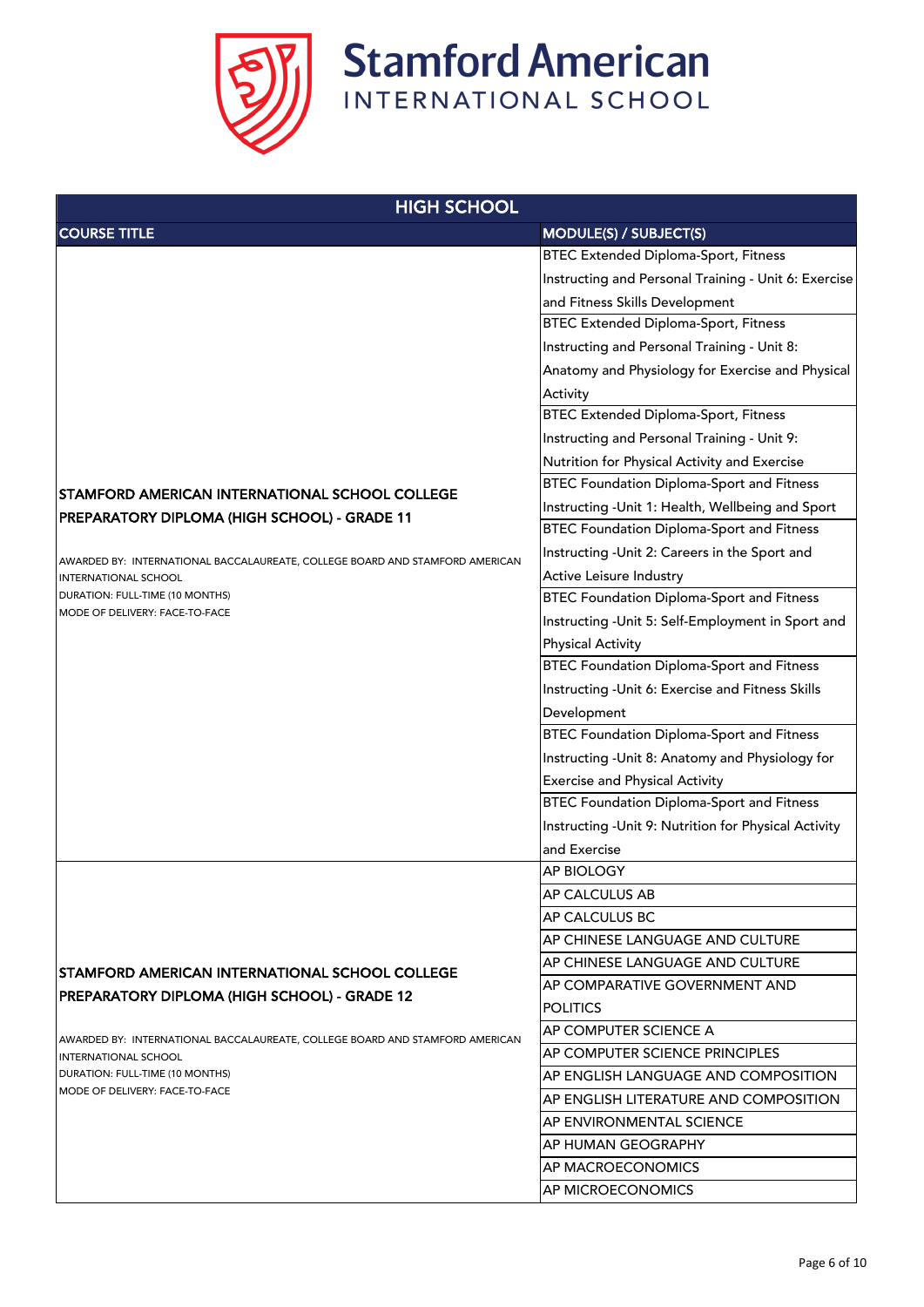

| <b>HIGH SCHOOL</b>                                                                               |                                                       |
|--------------------------------------------------------------------------------------------------|-------------------------------------------------------|
| <b>COURSE TITLE</b>                                                                              | <b>MODULE(S) / SUBJECT(S)</b>                         |
|                                                                                                  | <b>BTEC Extended Diploma-Sport, Fitness</b>           |
|                                                                                                  | Instructing and Personal Training - Unit 6: Exercise  |
|                                                                                                  | and Fitness Skills Development                        |
|                                                                                                  | <b>BTEC Extended Diploma-Sport, Fitness</b>           |
|                                                                                                  | Instructing and Personal Training - Unit 8:           |
|                                                                                                  | Anatomy and Physiology for Exercise and Physical      |
|                                                                                                  | Activity                                              |
|                                                                                                  | <b>BTEC Extended Diploma-Sport, Fitness</b>           |
|                                                                                                  | Instructing and Personal Training - Unit 9:           |
|                                                                                                  | Nutrition for Physical Activity and Exercise          |
| STAMFORD AMERICAN INTERNATIONAL SCHOOL COLLEGE                                                   | <b>BTEC Foundation Diploma-Sport and Fitness</b>      |
| PREPARATORY DIPLOMA (HIGH SCHOOL) - GRADE 11                                                     | Instructing - Unit 1: Health, Wellbeing and Sport     |
|                                                                                                  | <b>BTEC Foundation Diploma-Sport and Fitness</b>      |
| AWARDED BY: INTERNATIONAL BACCALAUREATE, COLLEGE BOARD AND STAMFORD AMERICAN                     | Instructing - Unit 2: Careers in the Sport and        |
| <b>INTERNATIONAL SCHOOL</b>                                                                      | <b>Active Leisure Industry</b>                        |
| DURATION: FULL-TIME (10 MONTHS)                                                                  | <b>BTEC Foundation Diploma-Sport and Fitness</b>      |
| MODE OF DELIVERY: FACE-TO-FACE                                                                   | Instructing - Unit 5: Self-Employment in Sport and    |
|                                                                                                  | <b>Physical Activity</b>                              |
|                                                                                                  | <b>BTEC Foundation Diploma-Sport and Fitness</b>      |
|                                                                                                  | Instructing - Unit 6: Exercise and Fitness Skills     |
|                                                                                                  | Development                                           |
|                                                                                                  | <b>BTEC Foundation Diploma-Sport and Fitness</b>      |
|                                                                                                  | Instructing - Unit 8: Anatomy and Physiology for      |
|                                                                                                  | <b>Exercise and Physical Activity</b>                 |
|                                                                                                  | <b>BTEC Foundation Diploma-Sport and Fitness</b>      |
|                                                                                                  | Instructing - Unit 9: Nutrition for Physical Activity |
|                                                                                                  | and Exercise                                          |
|                                                                                                  | <b>AP BIOLOGY</b>                                     |
|                                                                                                  | <b>AP CALCULUS AB</b>                                 |
|                                                                                                  | <b>AP CALCULUS BC</b>                                 |
|                                                                                                  | AP CHINESE LANGUAGE AND CULTURE                       |
| STAMFORD AMERICAN INTERNATIONAL SCHOOL COLLEGE                                                   | AP CHINESE LANGUAGE AND CULTURE                       |
| PREPARATORY DIPLOMA (HIGH SCHOOL) - GRADE 12                                                     | AP COMPARATIVE GOVERNMENT AND                         |
|                                                                                                  | <b>POLITICS</b>                                       |
| AWARDED BY: INTERNATIONAL BACCALAUREATE, COLLEGE BOARD AND STAMFORD AMERICAN                     | <b>AP COMPUTER SCIENCE A</b>                          |
| <b>INTERNATIONAL SCHOOL</b><br>DURATION: FULL-TIME (10 MONTHS)<br>MODE OF DELIVERY: FACE-TO-FACE | AP COMPUTER SCIENCE PRINCIPLES                        |
|                                                                                                  | AP ENGLISH LANGUAGE AND COMPOSITION                   |
|                                                                                                  | AP ENGLISH LITERATURE AND COMPOSITION                 |
|                                                                                                  | AP ENVIRONMENTAL SCIENCE                              |
|                                                                                                  | <b>AP HUMAN GEOGRAPHY</b>                             |
|                                                                                                  | <b>AP MACROECONOMICS</b>                              |
|                                                                                                  | AP MICROECONOMICS                                     |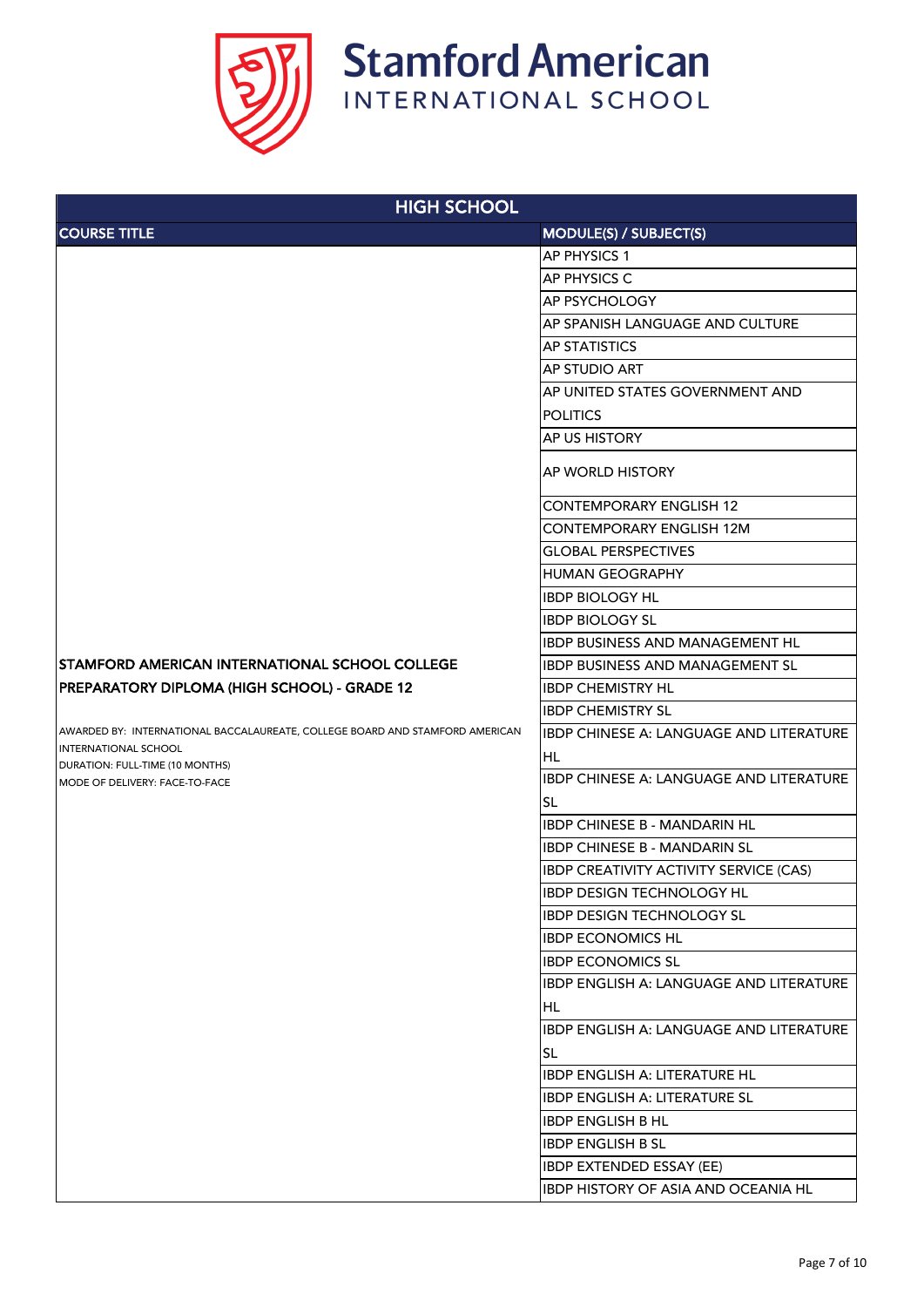

| <b>HIGH SCHOOL</b>                                                           |                                                |
|------------------------------------------------------------------------------|------------------------------------------------|
| <b>COURSE TITLE</b>                                                          | MODULE(S) / SUBJECT(S)                         |
|                                                                              | <b>AP PHYSICS 1</b>                            |
|                                                                              | <b>AP PHYSICS C</b>                            |
|                                                                              | <b>AP PSYCHOLOGY</b>                           |
|                                                                              | <b>AP SPANISH LANGUAGE AND CULTURE</b>         |
|                                                                              | <b>AP STATISTICS</b>                           |
|                                                                              | <b>AP STUDIO ART</b>                           |
|                                                                              | AP UNITED STATES GOVERNMENT AND                |
|                                                                              | <b>POLITICS</b>                                |
|                                                                              | <b>AP US HISTORY</b>                           |
|                                                                              | <b>AP WORLD HISTORY</b>                        |
|                                                                              | <b>CONTEMPORARY ENGLISH 12</b>                 |
|                                                                              | <b>CONTEMPORARY ENGLISH 12M</b>                |
|                                                                              | <b>GLOBAL PERSPECTIVES</b>                     |
|                                                                              | <b>HUMAN GEOGRAPHY</b>                         |
|                                                                              | <b>IBDP BIOLOGY HL</b>                         |
|                                                                              | <b>IBDP BIOLOGY SL</b>                         |
|                                                                              | <b>IBDP BUSINESS AND MANAGEMENT HL</b>         |
| <b>STAMFORD AMERICAN INTERNATIONAL SCHOOL COLLEGE</b>                        | <b>IBDP BUSINESS AND MANAGEMENT SL</b>         |
| PREPARATORY DIPLOMA (HIGH SCHOOL) - GRADE 12                                 | <b>IBDP CHEMISTRY HL</b>                       |
|                                                                              | <b>IBDP CHEMISTRY SL</b>                       |
| AWARDED BY: INTERNATIONAL BACCALAUREATE, COLLEGE BOARD AND STAMFORD AMERICAN | <b>IBDP CHINESE A: LANGUAGE AND LITERATURE</b> |
| INTERNATIONAL SCHOOL<br>DURATION: FULL-TIME (10 MONTHS)                      | <b>HL</b>                                      |
| MODE OF DELIVERY: FACE-TO-FACE                                               | <b>IBDP CHINESE A: LANGUAGE AND LITERATURE</b> |
|                                                                              | <b>SL</b>                                      |
|                                                                              | <b>IBDP CHINESE B - MANDARIN HL</b>            |
|                                                                              | <b>IBDP CHINESE B - MANDARIN SL</b>            |
|                                                                              | <b>IBDP CREATIVITY ACTIVITY SERVICE (CAS)</b>  |
|                                                                              | <b>IBDP DESIGN TECHNOLOGY HL</b>               |
|                                                                              | <b>IBDP DESIGN TECHNOLOGY SL</b>               |
|                                                                              | <b>IBDP ECONOMICS HL</b>                       |
|                                                                              | <b>IBDP ECONOMICS SL</b>                       |
|                                                                              | IBDP ENGLISH A: LANGUAGE AND LITERATURE        |
|                                                                              | HL.                                            |
|                                                                              | <b>IBDP ENGLISH A: LANGUAGE AND LITERATURE</b> |
|                                                                              | <b>SL</b>                                      |
|                                                                              | <b>IBDP ENGLISH A: LITERATURE HL</b>           |
|                                                                              | <b>IBDP ENGLISH A: LITERATURE SL</b>           |
|                                                                              | <b>IBDP ENGLISH B HL</b>                       |
|                                                                              | <b>IBDP ENGLISH B SL</b>                       |
|                                                                              | <b>IBDP EXTENDED ESSAY (EE)</b>                |
|                                                                              | IBDP HISTORY OF ASIA AND OCEANIA HL            |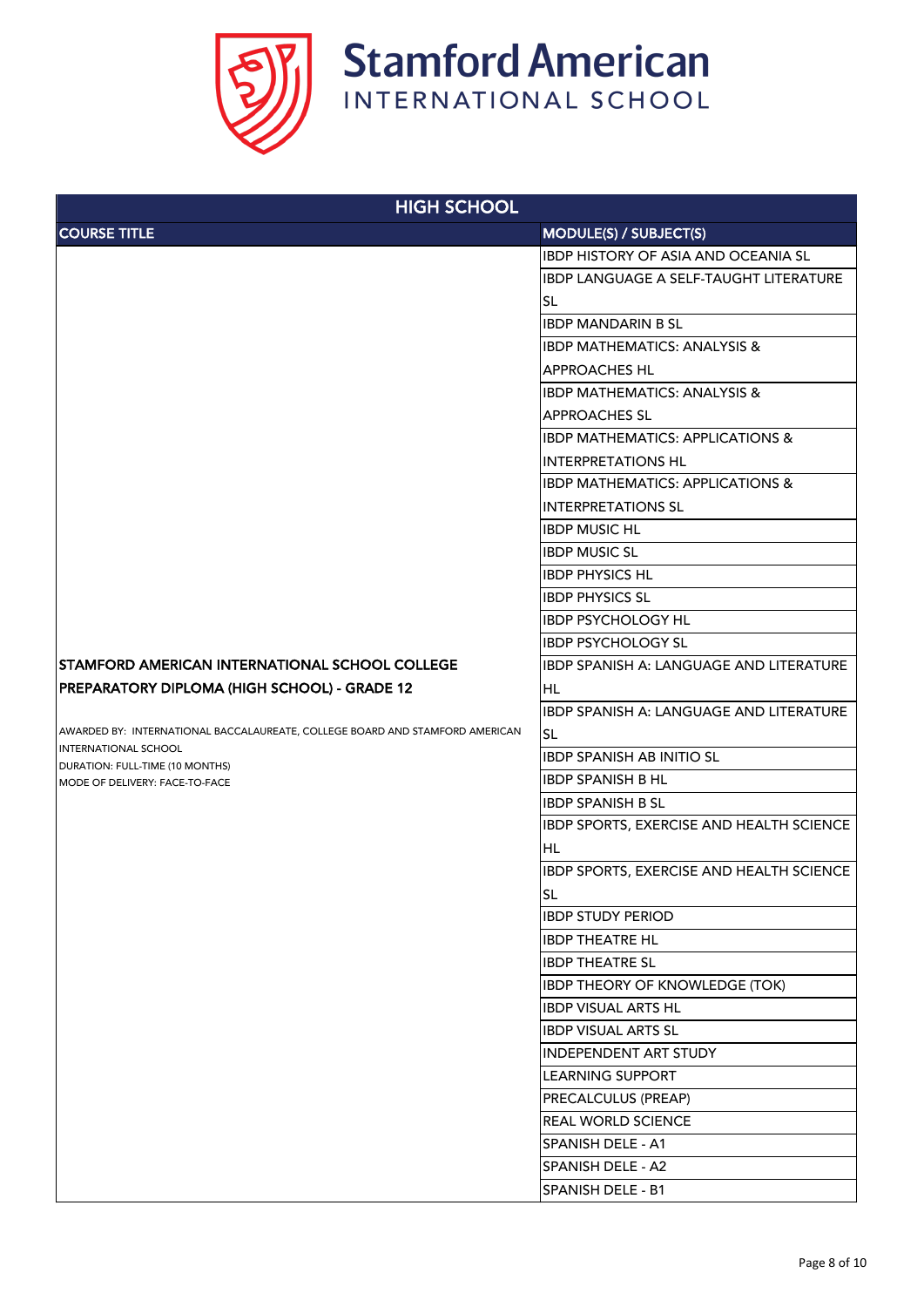

| <b>HIGH SCHOOL</b>                                                           |                                                 |
|------------------------------------------------------------------------------|-------------------------------------------------|
| <b>COURSE TITLE</b>                                                          | <b>MODULE(S) / SUBJECT(S)</b>                   |
|                                                                              | <b>IBDP HISTORY OF ASIA AND OCEANIA SL</b>      |
|                                                                              | <b>IBDP LANGUAGE A SELF-TAUGHT LITERATURE</b>   |
|                                                                              | <b>SL</b>                                       |
|                                                                              | <b>IBDP MANDARIN B SL</b>                       |
|                                                                              | <b>IBDP MATHEMATICS: ANALYSIS &amp;</b>         |
|                                                                              | <b>APPROACHES HL</b>                            |
|                                                                              | <b>IBDP MATHEMATICS: ANALYSIS &amp;</b>         |
|                                                                              | <b>APPROACHES SL</b>                            |
|                                                                              | <b>IBDP MATHEMATICS: APPLICATIONS &amp;</b>     |
|                                                                              | <b>INTERPRETATIONS HL</b>                       |
|                                                                              | <b>IBDP MATHEMATICS: APPLICATIONS &amp;</b>     |
|                                                                              | <b>INTERPRETATIONS SL</b>                       |
|                                                                              | <b>IBDP MUSIC HL</b>                            |
|                                                                              | <b>IBDP MUSIC SL</b>                            |
|                                                                              | <b>IBDP PHYSICS HL</b>                          |
|                                                                              | <b>IBDP PHYSICS SL</b>                          |
|                                                                              | <b>IBDP PSYCHOLOGY HL</b>                       |
|                                                                              | <b>IBDP PSYCHOLOGY SL</b>                       |
| STAMFORD AMERICAN INTERNATIONAL SCHOOL COLLEGE                               | <b>IBDP SPANISH A: LANGUAGE AND LITERATURE</b>  |
| PREPARATORY DIPLOMA (HIGH SCHOOL) - GRADE 12                                 | <b>HL</b>                                       |
|                                                                              | <b>IBDP SPANISH A: LANGUAGE AND LITERATURE</b>  |
| AWARDED BY: INTERNATIONAL BACCALAUREATE, COLLEGE BOARD AND STAMFORD AMERICAN | <b>SL</b>                                       |
| INTERNATIONAL SCHOOL<br>DURATION: FULL-TIME (10 MONTHS)                      | <b>IBDP SPANISH AB INITIO SL</b>                |
| MODE OF DELIVERY: FACE-TO-FACE                                               | <b>IBDP SPANISH B HL</b>                        |
|                                                                              | <b>IBDP SPANISH B SL</b>                        |
|                                                                              | IBDP SPORTS, EXERCISE AND HEALTH SCIENCE        |
|                                                                              | HL                                              |
|                                                                              | <b>IBDP SPORTS, EXERCISE AND HEALTH SCIENCE</b> |
|                                                                              | <b>SL</b>                                       |
|                                                                              | <b>IBDP STUDY PERIOD</b>                        |
|                                                                              | <b>IBDP THEATRE HL</b>                          |
|                                                                              | <b>IBDP THEATRE SL</b>                          |
|                                                                              | <b>IBDP THEORY OF KNOWLEDGE (TOK)</b>           |
|                                                                              | <b>IBDP VISUAL ARTS HL</b>                      |
|                                                                              | <b>IBDP VISUAL ARTS SL</b>                      |
|                                                                              | <b>INDEPENDENT ART STUDY</b>                    |
|                                                                              | <b>LEARNING SUPPORT</b>                         |
|                                                                              | <b>PRECALCULUS (PREAP)</b>                      |
|                                                                              | <b>REAL WORLD SCIENCE</b>                       |
|                                                                              | <b>SPANISH DELE - A1</b>                        |
|                                                                              | <b>SPANISH DELE - A2</b>                        |
|                                                                              | <b>SPANISH DELE - B1</b>                        |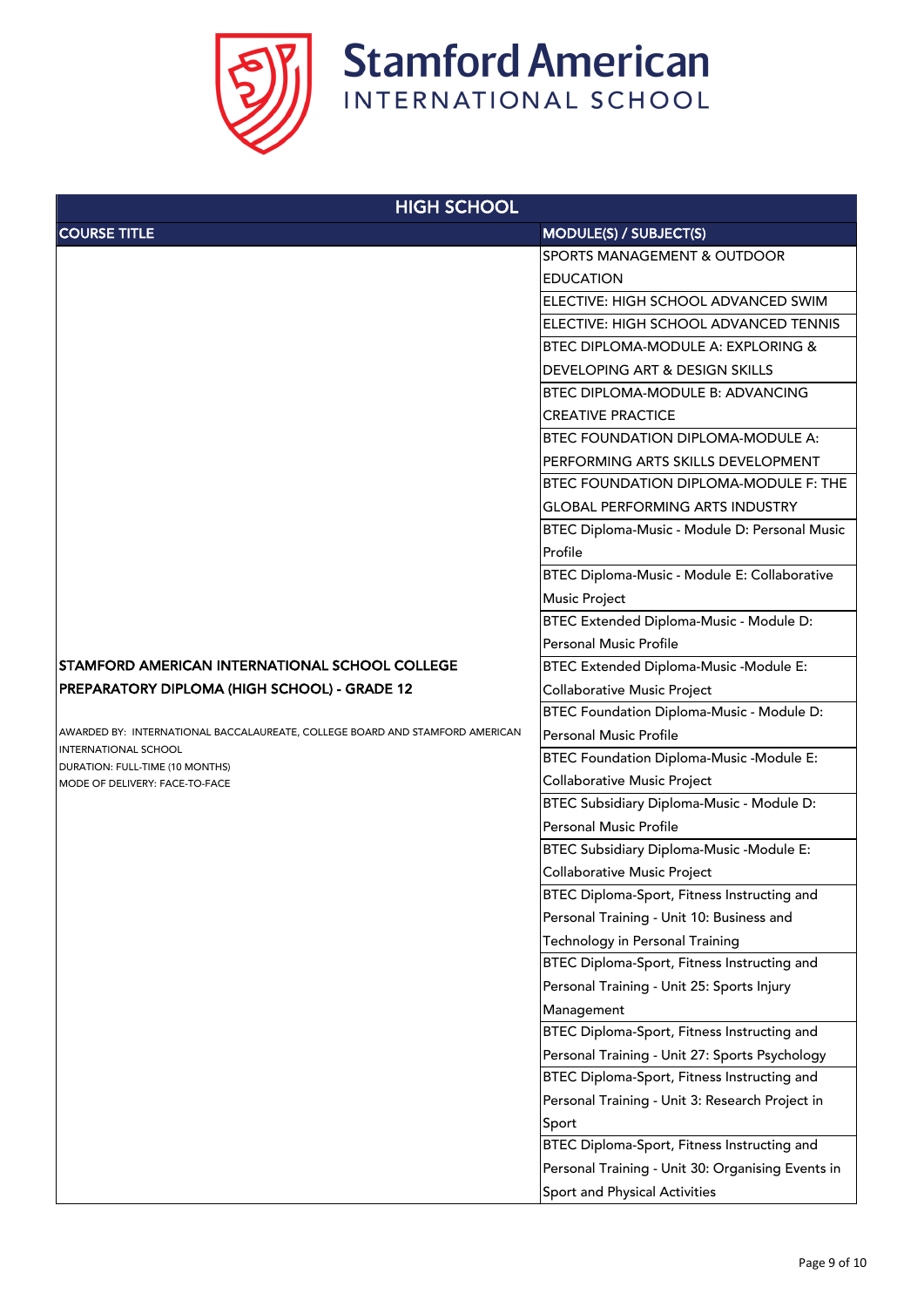

| <b>HIGH SCHOOL</b>                                                           |                                                   |
|------------------------------------------------------------------------------|---------------------------------------------------|
| <b>COURSE TITLE</b>                                                          | MODULE(S) / SUBJECT(S)                            |
|                                                                              | <b>SPORTS MANAGEMENT &amp; OUTDOOR</b>            |
|                                                                              | <b>EDUCATION</b>                                  |
|                                                                              | ELECTIVE: HIGH SCHOOL ADVANCED SWIM               |
|                                                                              | ELECTIVE: HIGH SCHOOL ADVANCED TENNIS             |
|                                                                              | <b>BTEC DIPLOMA-MODULE A: EXPLORING &amp;</b>     |
|                                                                              | <b>DEVELOPING ART &amp; DESIGN SKILLS</b>         |
|                                                                              | <b>BTEC DIPLOMA-MODULE B: ADVANCING</b>           |
|                                                                              | <b>CREATIVE PRACTICE</b>                          |
|                                                                              | <b>BTEC FOUNDATION DIPLOMA-MODULE A:</b>          |
|                                                                              | PERFORMING ARTS SKILLS DEVELOPMENT                |
|                                                                              | <b>BTEC FOUNDATION DIPLOMA-MODULE F: THE</b>      |
|                                                                              | <b>GLOBAL PERFORMING ARTS INDUSTRY</b>            |
|                                                                              | BTEC Diploma-Music - Module D: Personal Music     |
|                                                                              | Profile                                           |
|                                                                              | BTEC Diploma-Music - Module E: Collaborative      |
|                                                                              | <b>Music Project</b>                              |
|                                                                              | BTEC Extended Diploma-Music - Module D:           |
|                                                                              | <b>Personal Music Profile</b>                     |
| STAMFORD AMERICAN INTERNATIONAL SCHOOL COLLEGE                               | <b>BTEC Extended Diploma-Music -Module E:</b>     |
| PREPARATORY DIPLOMA (HIGH SCHOOL) - GRADE 12                                 | <b>Collaborative Music Project</b>                |
|                                                                              | BTEC Foundation Diploma-Music - Module D:         |
| AWARDED BY: INTERNATIONAL BACCALAUREATE, COLLEGE BOARD AND STAMFORD AMERICAN | <b>Personal Music Profile</b>                     |
| <b>INTERNATIONAL SCHOOL</b><br>DURATION: FULL-TIME (10 MONTHS)               | <b>BTEC Foundation Diploma-Music -Module E:</b>   |
| MODE OF DELIVERY: FACE-TO-FACE                                               | <b>Collaborative Music Project</b>                |
|                                                                              | BTEC Subsidiary Diploma-Music - Module D:         |
|                                                                              | <b>Personal Music Profile</b>                     |
|                                                                              | <b>BTEC Subsidiary Diploma-Music -Module E:</b>   |
|                                                                              | <b>Collaborative Music Project</b>                |
|                                                                              | BTEC Diploma-Sport, Fitness Instructing and       |
|                                                                              | Personal Training - Unit 10: Business and         |
|                                                                              | <b>Technology in Personal Training</b>            |
|                                                                              | BTEC Diploma-Sport, Fitness Instructing and       |
|                                                                              | Personal Training - Unit 25: Sports Injury        |
|                                                                              | Management                                        |
|                                                                              | BTEC Diploma-Sport, Fitness Instructing and       |
|                                                                              | Personal Training - Unit 27: Sports Psychology    |
|                                                                              | BTEC Diploma-Sport, Fitness Instructing and       |
|                                                                              | Personal Training - Unit 3: Research Project in   |
|                                                                              | Sport                                             |
|                                                                              | BTEC Diploma-Sport, Fitness Instructing and       |
|                                                                              | Personal Training - Unit 30: Organising Events in |
|                                                                              | Sport and Physical Activities                     |